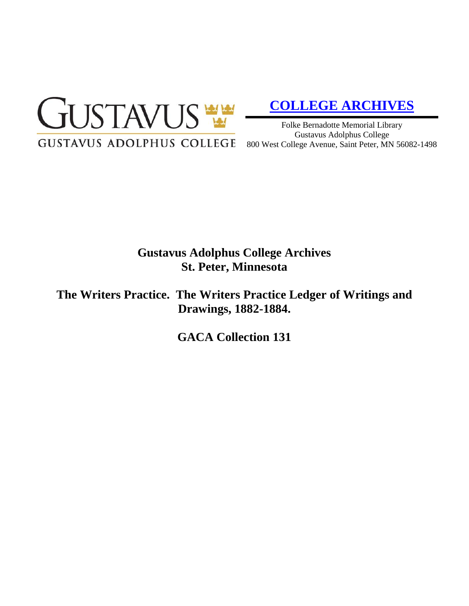

# **[COLLEGE ARCHIVES](http://gustavus.edu/academics/library/archives/)**

Folke Bernadotte Memorial Library Gustavus Adolphus College 800 West College Avenue, Saint Peter, MN 56082-1498

# **Gustavus Adolphus College Archives St. Peter, Minnesota**

**The Writers Practice. The Writers Practice Ledger of Writings and Drawings, 1882-1884.**

**GACA Collection 131**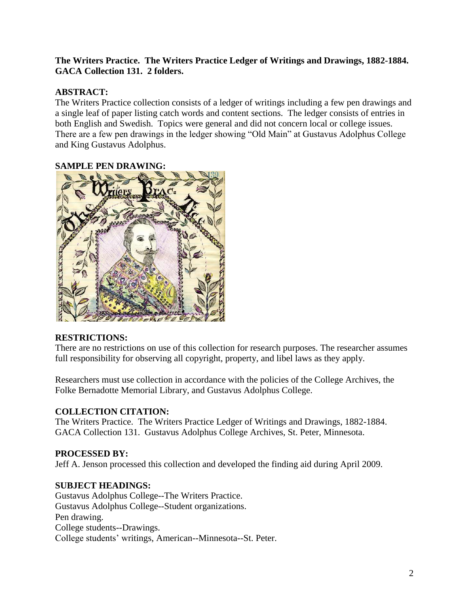## **The Writers Practice. The Writers Practice Ledger of Writings and Drawings, 1882-1884. GACA Collection 131. 2 folders.**

## **ABSTRACT:**

The Writers Practice collection consists of a ledger of writings including a few pen drawings and a single leaf of paper listing catch words and content sections. The ledger consists of entries in both English and Swedish. Topics were general and did not concern local or college issues. There are a few pen drawings in the ledger showing "Old Main" at Gustavus Adolphus College and King Gustavus Adolphus.

#### **SAMPLE PEN DRAWING:**



#### **RESTRICTIONS:**

There are no restrictions on use of this collection for research purposes. The researcher assumes full responsibility for observing all copyright, property, and libel laws as they apply.

Researchers must use collection in accordance with the policies of the College Archives, the Folke Bernadotte Memorial Library, and Gustavus Adolphus College.

#### **COLLECTION CITATION:**

The Writers Practice. The Writers Practice Ledger of Writings and Drawings, 1882-1884. GACA Collection 131. Gustavus Adolphus College Archives, St. Peter, Minnesota.

#### **PROCESSED BY:**

Jeff A. Jenson processed this collection and developed the finding aid during April 2009.

#### **SUBJECT HEADINGS:**

Gustavus Adolphus College--The Writers Practice. Gustavus Adolphus College--Student organizations. Pen drawing. College students--Drawings. College students' writings, American--Minnesota--St. Peter.